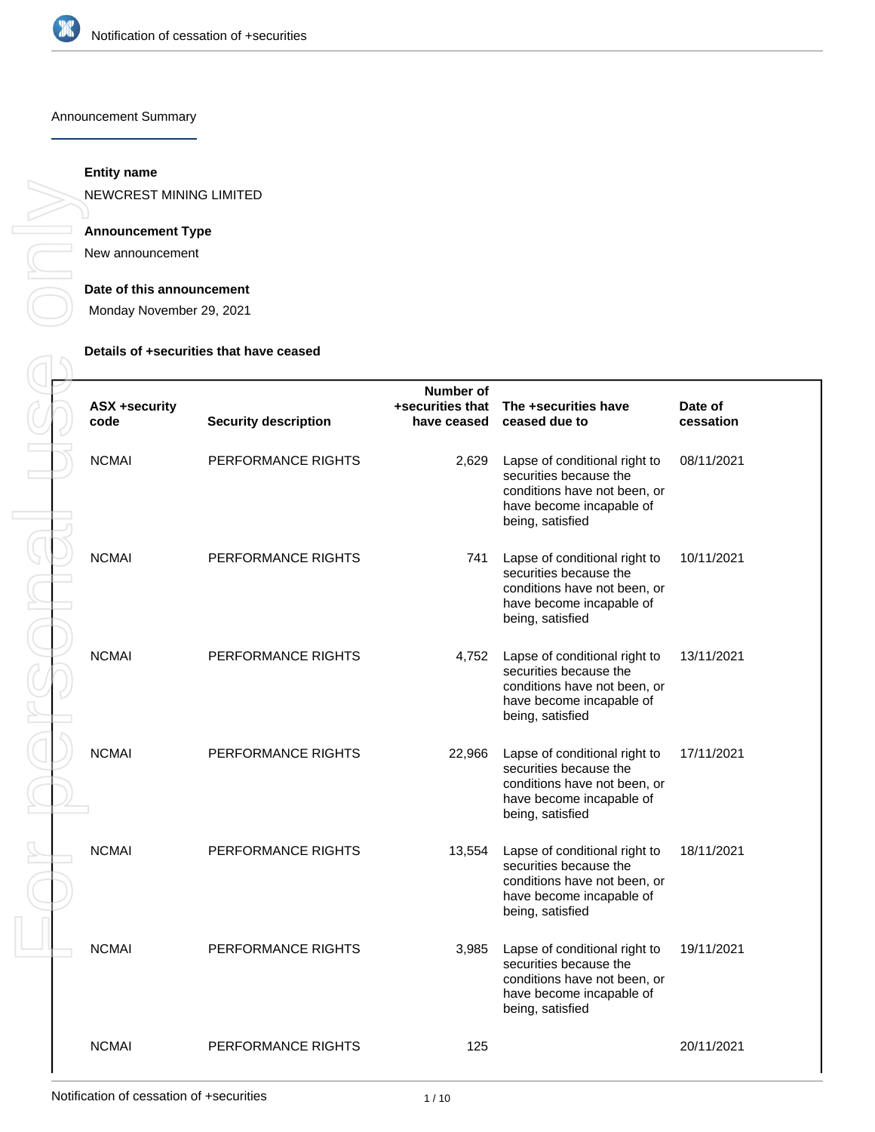

#### Announcement Summary

### **Entity name**

NEWCREST MINING LIMITED

### **Announcement Type**

New announcement

#### **Date of this announcement**

Monday November 29, 2021

### **Details of +securities that have ceased**

| <b>ASX +security</b><br>code | <b>Security description</b> | Number of<br>have ceased | +securities that The +securities have<br>ceased due to                                                                                  | Date of<br>cessation |
|------------------------------|-----------------------------|--------------------------|-----------------------------------------------------------------------------------------------------------------------------------------|----------------------|
| <b>NCMAI</b>                 | PERFORMANCE RIGHTS          | 2,629                    | Lapse of conditional right to<br>securities because the<br>conditions have not been, or<br>have become incapable of<br>being, satisfied | 08/11/2021           |
| <b>NCMAI</b>                 | PERFORMANCE RIGHTS          | 741                      | Lapse of conditional right to<br>securities because the<br>conditions have not been, or<br>have become incapable of<br>being, satisfied | 10/11/2021           |
| <b>NCMAI</b>                 | PERFORMANCE RIGHTS          | 4,752                    | Lapse of conditional right to<br>securities because the<br>conditions have not been, or<br>have become incapable of<br>being, satisfied | 13/11/2021           |
| <b>NCMAI</b>                 | PERFORMANCE RIGHTS          | 22,966                   | Lapse of conditional right to<br>securities because the<br>conditions have not been, or<br>have become incapable of<br>being, satisfied | 17/11/2021           |
| <b>NCMAI</b>                 | PERFORMANCE RIGHTS          | 13,554                   | Lapse of conditional right to<br>securities because the<br>conditions have not been, or<br>have become incapable of<br>being, satisfied | 18/11/2021           |
| <b>NCMAI</b>                 | PERFORMANCE RIGHTS          | 3,985                    | Lapse of conditional right to<br>securities because the<br>conditions have not been, or<br>have become incapable of<br>being, satisfied | 19/11/2021           |
| <b>NCMAI</b>                 | PERFORMANCE RIGHTS          | 125                      |                                                                                                                                         | 20/11/2021           |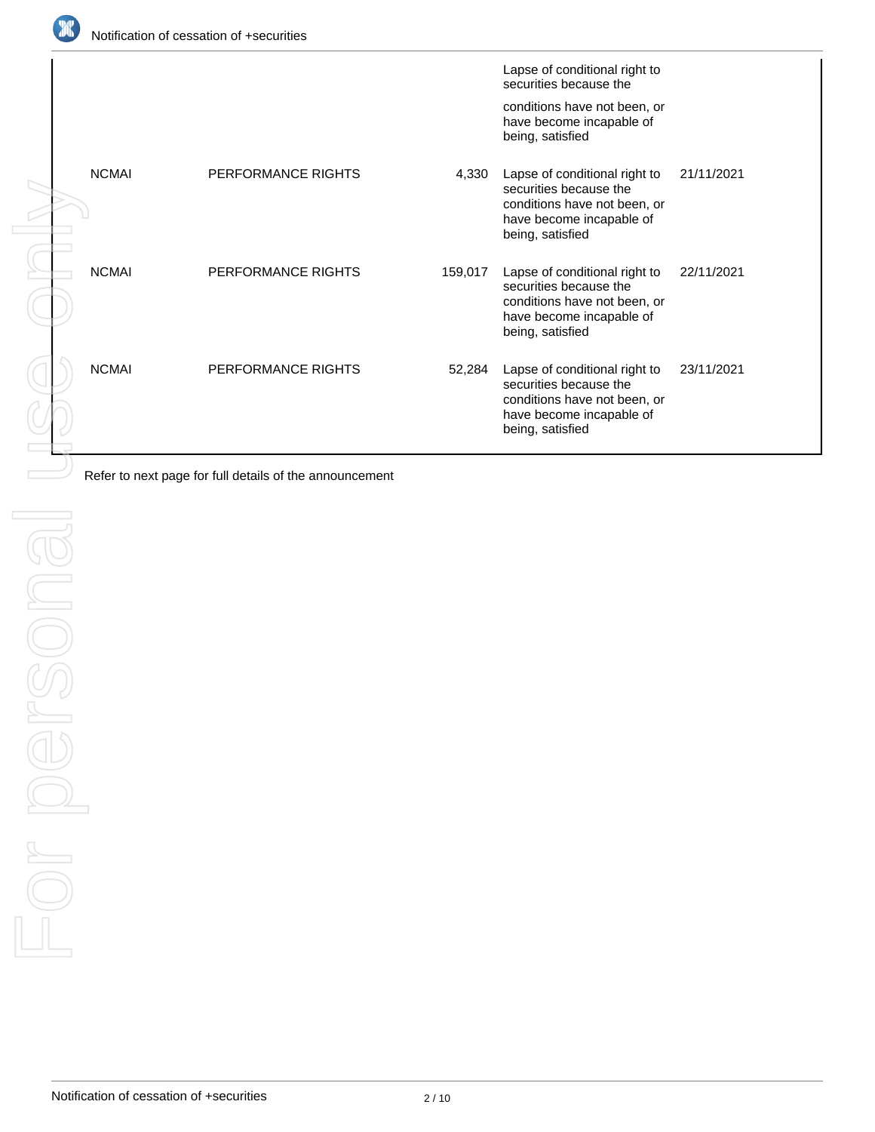

|            |              |                                                         |         | Lapse of conditional right to                                                                                                           |            |
|------------|--------------|---------------------------------------------------------|---------|-----------------------------------------------------------------------------------------------------------------------------------------|------------|
|            |              |                                                         |         | securities because the<br>conditions have not been, or<br>have become incapable of                                                      |            |
|            |              |                                                         |         | being, satisfied                                                                                                                        |            |
|            | <b>NCMAI</b> | PERFORMANCE RIGHTS                                      | 4,330   | Lapse of conditional right to<br>securities because the<br>conditions have not been, or<br>have become incapable of<br>being, satisfied | 21/11/2021 |
|            | <b>NCMAI</b> | PERFORMANCE RIGHTS                                      | 159,017 | Lapse of conditional right to<br>securities because the<br>conditions have not been, or<br>have become incapable of<br>being, satisfied | 22/11/2021 |
|            | <b>NCMAI</b> | PERFORMANCE RIGHTS                                      | 52,284  | Lapse of conditional right to<br>securities because the<br>conditions have not been, or<br>have become incapable of<br>being, satisfied | 23/11/2021 |
|            |              | Refer to next page for full details of the announcement |         |                                                                                                                                         |            |
|            |              |                                                         |         |                                                                                                                                         |            |
|            |              |                                                         |         |                                                                                                                                         |            |
|            |              |                                                         |         |                                                                                                                                         |            |
|            |              |                                                         |         |                                                                                                                                         |            |
|            |              |                                                         |         |                                                                                                                                         |            |
|            |              |                                                         |         |                                                                                                                                         |            |
|            |              |                                                         |         |                                                                                                                                         |            |
|            |              |                                                         |         |                                                                                                                                         |            |
|            |              |                                                         |         |                                                                                                                                         |            |
| r pere     |              |                                                         |         |                                                                                                                                         |            |
|            |              |                                                         |         |                                                                                                                                         |            |
|            |              |                                                         |         |                                                                                                                                         |            |
| $\bigcirc$ |              |                                                         |         |                                                                                                                                         |            |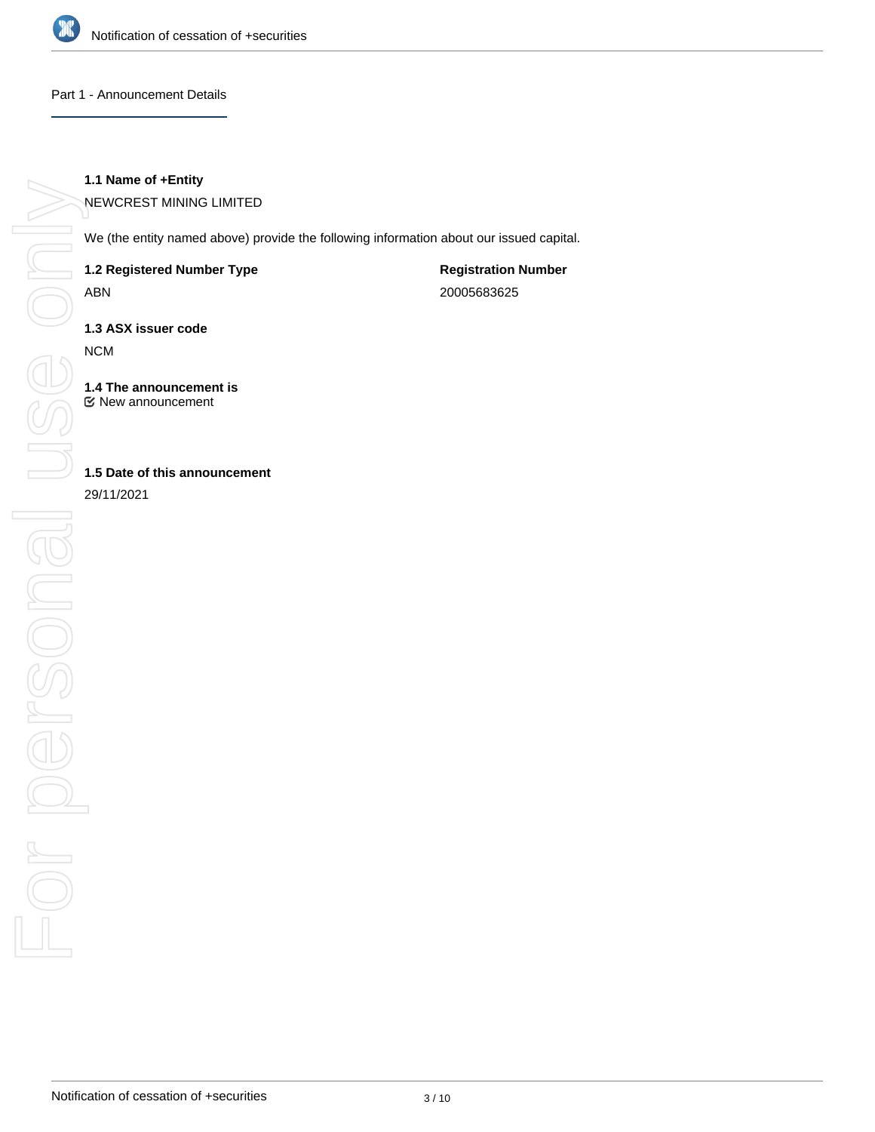

#### Part 1 - Announcement Details

### **1.1 Name of +Entity**

NEWCREST MINING LIMITED

We (the entity named above) provide the following information about our issued capital.

**1.2 Registered Number Type**

ABN

**Registration Number** 20005683625

**1.3 ASX issuer code**

NCM

**1.4 The announcement is** New announcement

**1.5 Date of this announcement**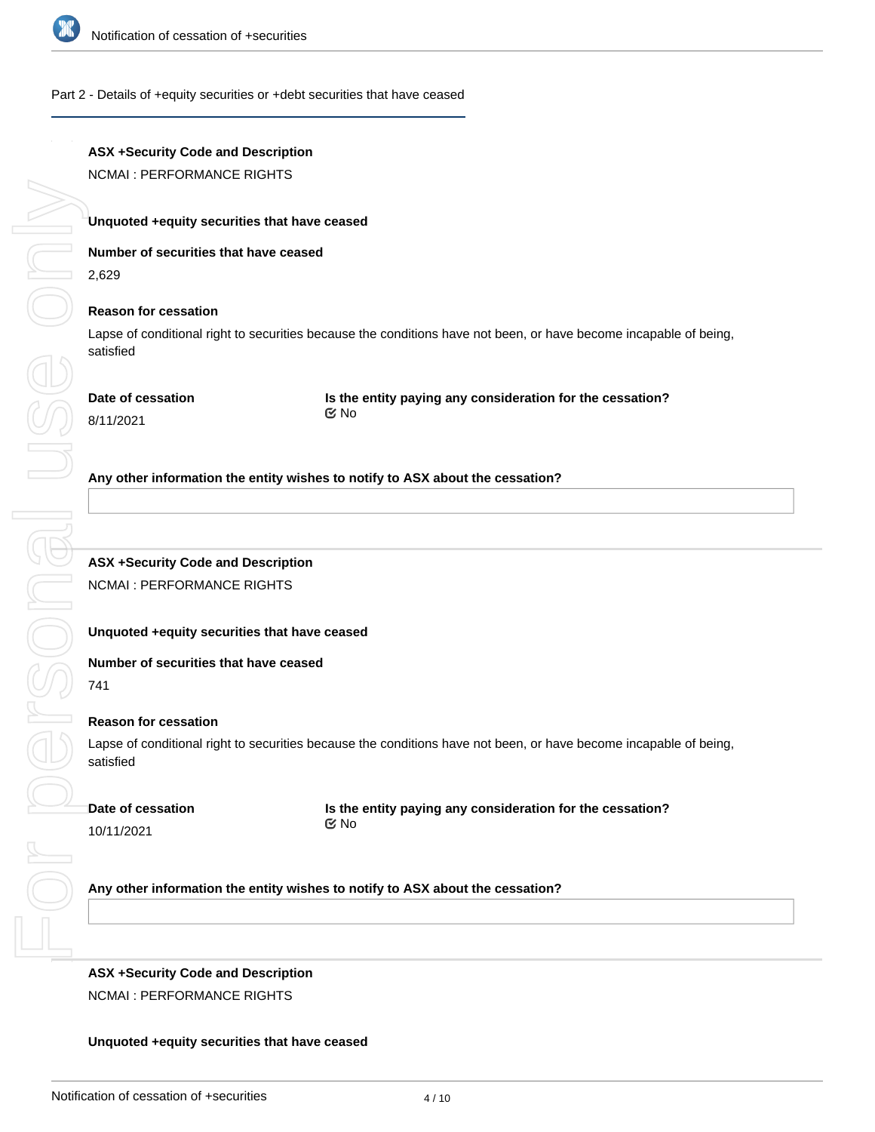

#### Part 2 - Details of +equity securities or +debt securities that have ceased

# **ASX +Security Code and Description**

NCMAI : PERFORMANCE RIGHTS

#### **Unquoted +equity securities that have ceased**

**Number of securities that have ceased**

2,629

Se or

#### **Reason for cessation**

Lapse of conditional right to securities because the conditions have not been, or have become incapable of being, satisfied

8/11/2021

**Is the entity paying any consideration for the cessation?** No

#### **Any other information the entity wishes to notify to ASX about the cessation?**

# **ASX +Security Code and Description** NCMAI : PERFORMANCE RIGHTS

#### **Unquoted +equity securities that have ceased**

#### **Number of securities that have ceased**

For personal use only Cresonal U 741

#### **Reason for cessation**

Lapse of conditional right to securities because the conditions have not been, or have become incapable of being, satisfied

**Date of cessation**

10/11/2021

 $\frac{1}{2}$ 

**Is the entity paying any consideration for the cessation?** No

#### **Any other information the entity wishes to notify to ASX about the cessation?**

# **ASX +Security Code and Description** NCMAI : PERFORMANCE RIGHTS

**Number of securities that have ceased**

#### **Unquoted +equity securities that have ceased**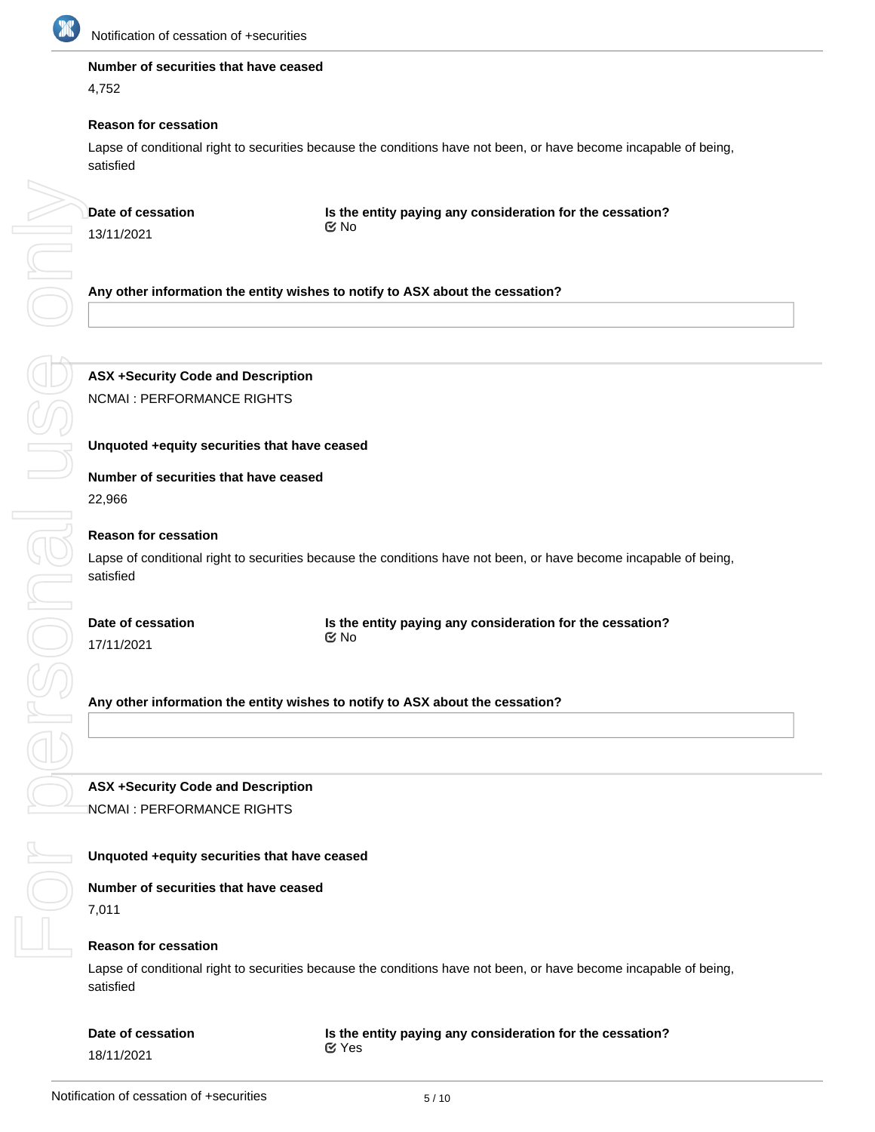

#### **Number of securities that have ceased**

4,752

#### **Reason for cessation**

Lapse of conditional right to securities because the conditions have not been, or have become incapable of being, satisfied

| Date of cessation        |
|--------------------------|
| 13/11/2021               |
|                          |
| Any other informa        |
|                          |
|                          |
|                          |
| <b>ASX +Security Co</b>  |
| <b>NCMAI: PERFORI</b>    |
|                          |
| <b>Unquoted +equity</b>  |
| <b>Number of securit</b> |
| 22,966                   |
| <b>Reason for cessat</b> |
| Lapse of conditiona      |
| satisfied                |
|                          |
| Date of cessation        |
| 17/11/2021               |
|                          |
| Any other informa        |
|                          |
|                          |
|                          |
| <b>ASX +Security Co</b>  |
| <b>NCMAI: PERFORI</b>    |
| Unquoted +equity         |
|                          |
| <b>Number of securit</b> |
| 7,011                    |
| <b>Reason for cessat</b> |

**Is the entity paying any consideration for the cessation?** No

**Any other information the entity wishes to notify to ASX about the cessation?**

**ASX +Security Code and Description** NCMAI : PERFORMANCE RIGHTS

#### **Unquoted +equity securities that have ceased**

# **Number of securities that have ceased**

#### **Reason for cessation**

Lapse of conditional right to securities because the conditions have not been, or have become incapable of being, satisfied

**Is the entity paying any consideration for the cessation?** No

**Any other information the entity wishes to notify to ASX about the cessation?**

**ASX +Security Code and Description** NCMAI : PERFORMANCE RIGHTS

#### **Unquoted +equity securities that have ceased**

**Number of securities that have ceased**

#### **Reason for cessation**

Lapse of conditional right to securities because the conditions have not been, or have become incapable of being, satisfied

#### **Date of cessation**

#### **Is the entity paying any consideration for the cessation?** Yes

18/11/2021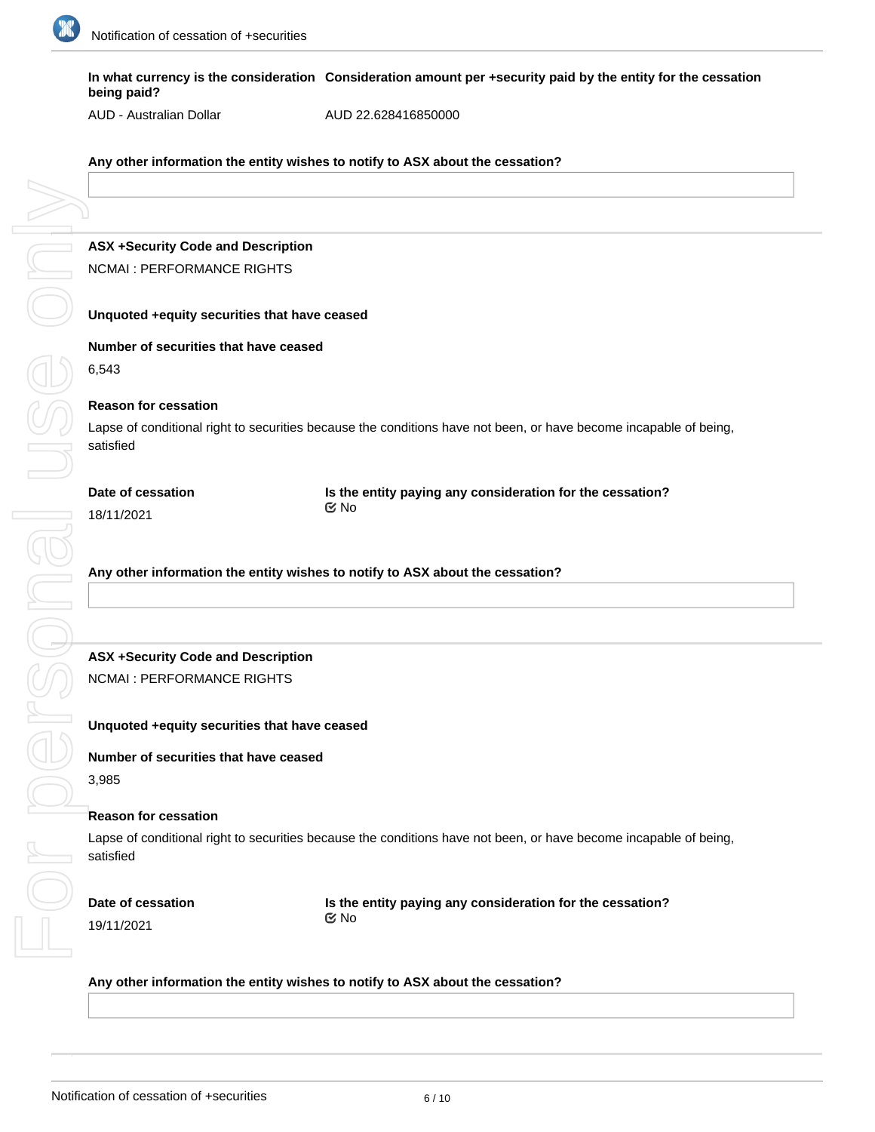

**In what currency is the consideration Consideration amount per +security paid by the entity for the cessation being paid?**

AUD - Australian Dollar

AUD 22.628416850000

**Any other information the entity wishes to notify to ASX about the cessation?**

**ASX +Security Code and Description** NCMAI : PERFORMANCE RIGHTS

**Unquoted +equity securities that have ceased**

**Number of securities that have ceased**

6,543

#### **Reason for cessation**

Lapse of conditional right to securities because the conditions have not been, or have become incapable of being, satisfied

18/11/2021

**Is the entity paying any consideration for the cessation?** No

**Any other information the entity wishes to notify to ASX about the cessation?**

# **ASX +Security Code and Description**

NCMAI : PERFORMANCE RIGHTS

**Unquoted +equity securities that have ceased**

**Number of securities that have ceased**

3,985

#### **Reason for cessation**

Lapse of conditional right to securities because the conditions have not been, or have become incapable of being, satisfied

**Date of cessation**

**Is the entity paying any consideration for the cessation?** No

#### **Any other information the entity wishes to notify to ASX about the cessation?**

**ASX +Security Code and Description**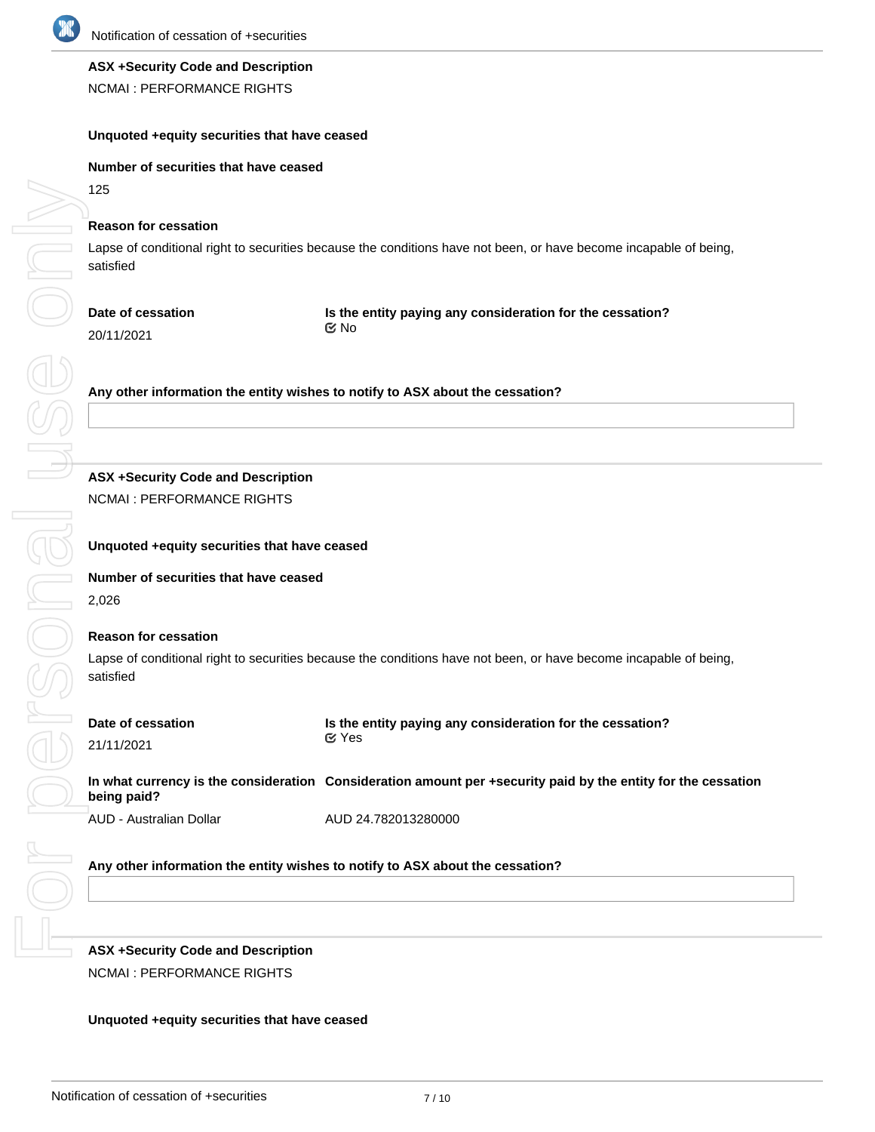

#### **ASX +Security Code and Description**

NCMAI : PERFORMANCE RIGHTS

#### **Unquoted +equity securities that have ceased**

#### **Number of securities that have ceased**

125

#### **Reason for cessation**

Lapse of conditional right to securities because the conditions have not been, or have become incapable of being, satisfied

# **Date of cessation**

**Is the entity paying any consideration for the cessation?** No

20/11/2021

**Any other information the entity wishes to notify to ASX about the cessation?**

# **ASX +Security Code and Description**

NCMAI : PERFORMANCE RIGHTS

### **Unquoted +equity securities that have ceased**

**Number of securities that have ceased** 2,026

#### **Reason for cessation**

Lapse of conditional right to securities because the conditions have not been, or have become incapable of being, satisfied

| Date of cessation | Is the entity paying any consideration for the cessation? |  |  |  |
|-------------------|-----------------------------------------------------------|--|--|--|
| 21/11/2021        | ⊠ Yes                                                     |  |  |  |

|             | In what currency is the consideration Consideration amount per +security paid by the entity for the cessation |
|-------------|---------------------------------------------------------------------------------------------------------------|
| being paid? |                                                                                                               |
|             |                                                                                                               |

AUD - Australian Dollar

AUD 24.782013280000

## **Any other information the entity wishes to notify to ASX about the cessation?**

**ASX +Security Code and Description** NCMAI : PERFORMANCE RIGHTS

#### **Unquoted +equity securities that have ceased**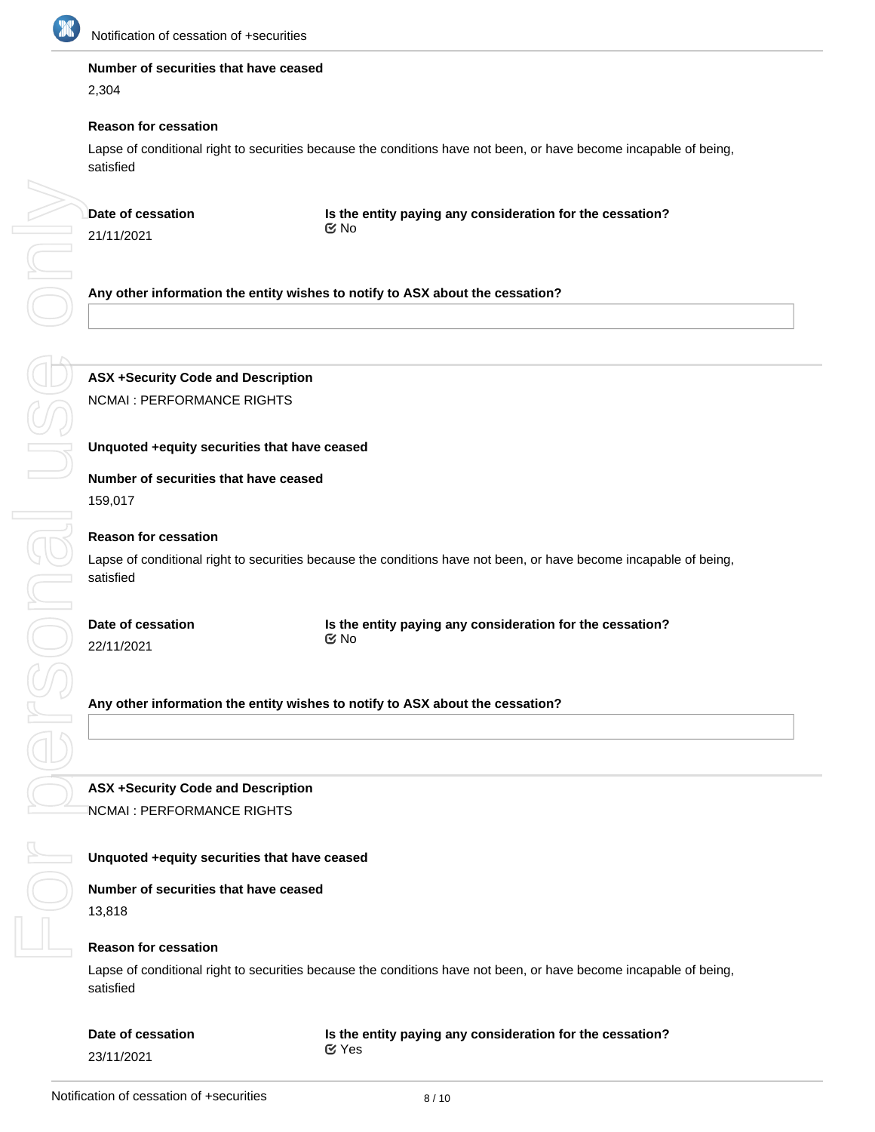

DE ON

#### **Number of securities that have ceased**

2,304

#### **Reason for cessation**

Lapse of conditional right to securities because the conditions have not been, or have become incapable of being, satisfied

**Date of cessation**

21/11/2021

**Is the entity paying any consideration for the cessation?** No

**Any other information the entity wishes to notify to ASX about the cessation?**

**ASX +Security Code and Description** NCMAI : PERFORMANCE RIGHTS

#### **Unquoted +equity securities that have ceased**

# **Number of securities that have ceased**

159,017

#### **Reason for cessation**

Lapse of conditional right to securities because the conditions have not been, or have become incapable of being, satisfied

For personal use only personal us **Date of cessation**

22/11/2021

**Is the entity paying any consideration for the cessation?** No

**Any other information the entity wishes to notify to ASX about the cessation?**

**ASX +Security Code and Description** NCMAI : PERFORMANCE RIGHTS

### **Unquoted +equity securities that have ceased**

**Number of securities that have ceased** 13,818

#### **Reason for cessation**

Lapse of conditional right to securities because the conditions have not been, or have become incapable of being, satisfied

# **Date of cessation** 23/11/2021

#### **Is the entity paying any consideration for the cessation?** Yes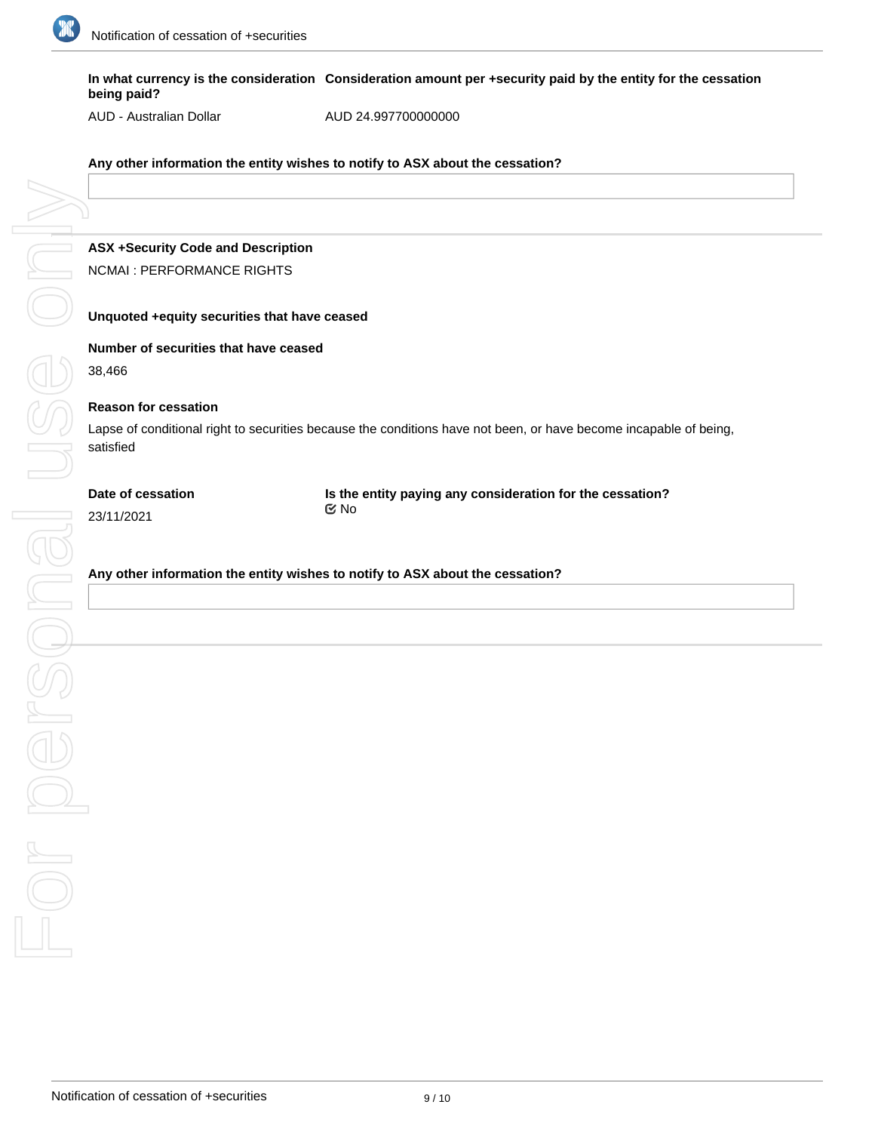

**In what currency is the consideration Consideration amount per +security paid by the entity for the cessation being paid?**

AUD - Australian Dollar

AUD 24.997700000000

**Any other information the entity wishes to notify to ASX about the cessation?**

# **ASX +Security Code and Description** NCMAI : PERFORMANCE RIGHTS

#### **Unquoted +equity securities that have ceased**

**Number of securities that have ceased**

38,466

#### **Reason for cessation**

Lapse of conditional right to securities because the conditions have not been, or have become incapable of being, satisfied

#### **Date of cessation**

**Is the entity paying any consideration for the cessation?** No

23/11/2021

**Any other information the entity wishes to notify to ASX about the cessation?**